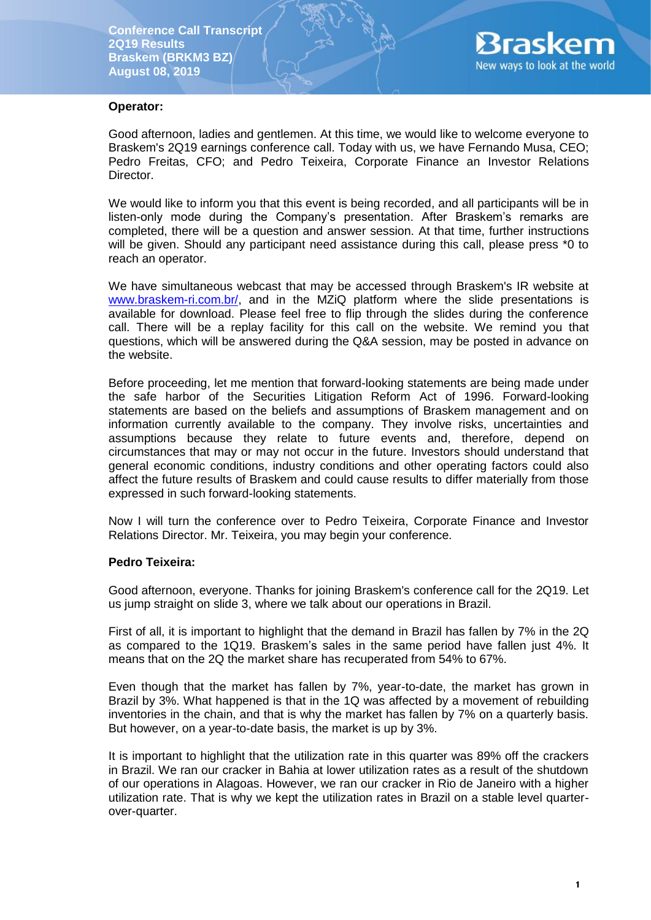

#### **Operator:**

Good afternoon, ladies and gentlemen. At this time, we would like to welcome everyone to Braskem's 2Q19 earnings conference call. Today with us, we have Fernando Musa, CEO; Pedro Freitas, CFO; and Pedro Teixeira, Corporate Finance an Investor Relations Director.

We would like to inform you that this event is being recorded, and all participants will be in listen-only mode during the Company's presentation. After Braskem's remarks are completed, there will be a question and answer session. At that time, further instructions will be given. Should any participant need assistance during this call, please press \*0 to reach an operator.

We have simultaneous webcast that may be accessed through Braskem's IR website at [www.braskem-ri.com.br/,](http://www.braskem-ri.com.br/) and in the MZiQ platform where the slide presentations is available for download. Please feel free to flip through the slides during the conference call. There will be a replay facility for this call on the website. We remind you that questions, which will be answered during the Q&A session, may be posted in advance on the website.

Before proceeding, let me mention that forward-looking statements are being made under the safe harbor of the Securities Litigation Reform Act of 1996. Forward-looking statements are based on the beliefs and assumptions of Braskem management and on information currently available to the company. They involve risks, uncertainties and assumptions because they relate to future events and, therefore, depend on circumstances that may or may not occur in the future. Investors should understand that general economic conditions, industry conditions and other operating factors could also affect the future results of Braskem and could cause results to differ materially from those expressed in such forward-looking statements.

Now I will turn the conference over to Pedro Teixeira, Corporate Finance and Investor Relations Director. Mr. Teixeira, you may begin your conference.

### **Pedro Teixeira:**

Good afternoon, everyone. Thanks for joining Braskem's conference call for the 2Q19. Let us jump straight on slide 3, where we talk about our operations in Brazil.

First of all, it is important to highlight that the demand in Brazil has fallen by 7% in the 2Q as compared to the 1Q19. Braskem's sales in the same period have fallen just 4%. It means that on the 2Q the market share has recuperated from 54% to 67%.

Even though that the market has fallen by 7%, year-to-date, the market has grown in Brazil by 3%. What happened is that in the 1Q was affected by a movement of rebuilding inventories in the chain, and that is why the market has fallen by 7% on a quarterly basis. But however, on a year-to-date basis, the market is up by 3%.

It is important to highlight that the utilization rate in this quarter was 89% off the crackers in Brazil. We ran our cracker in Bahia at lower utilization rates as a result of the shutdown of our operations in Alagoas. However, we ran our cracker in Rio de Janeiro with a higher utilization rate. That is why we kept the utilization rates in Brazil on a stable level quarterover-quarter.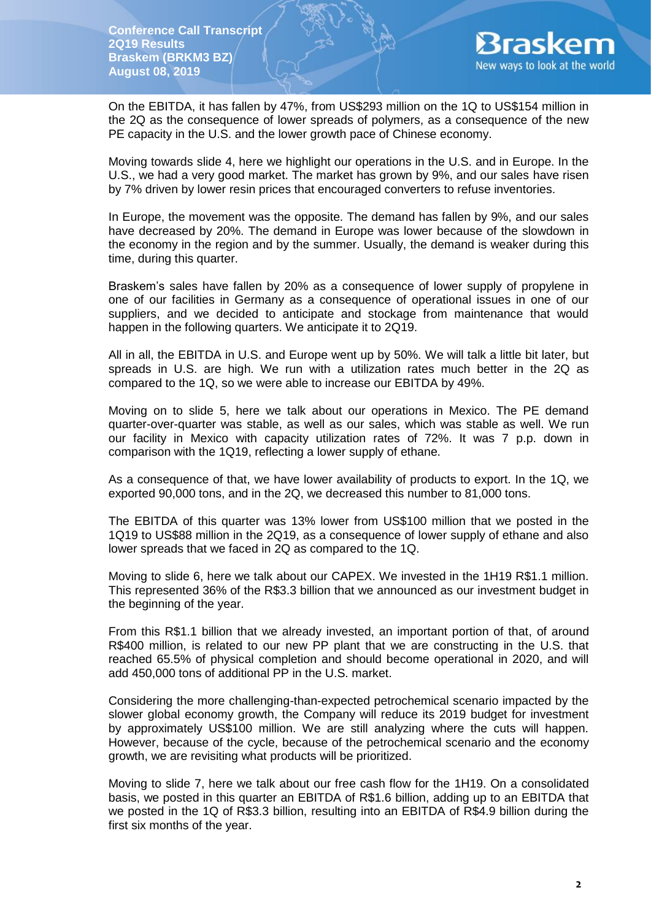

On the EBITDA, it has fallen by 47%, from US\$293 million on the 1Q to US\$154 million in the 2Q as the consequence of lower spreads of polymers, as a consequence of the new PE capacity in the U.S. and the lower growth pace of Chinese economy.

Moving towards slide 4, here we highlight our operations in the U.S. and in Europe. In the U.S., we had a very good market. The market has grown by 9%, and our sales have risen by 7% driven by lower resin prices that encouraged converters to refuse inventories.

In Europe, the movement was the opposite. The demand has fallen by 9%, and our sales have decreased by 20%. The demand in Europe was lower because of the slowdown in the economy in the region and by the summer. Usually, the demand is weaker during this time, during this quarter.

Braskem's sales have fallen by 20% as a consequence of lower supply of propylene in one of our facilities in Germany as a consequence of operational issues in one of our suppliers, and we decided to anticipate and stockage from maintenance that would happen in the following quarters. We anticipate it to 2Q19.

All in all, the EBITDA in U.S. and Europe went up by 50%. We will talk a little bit later, but spreads in U.S. are high. We run with a utilization rates much better in the 2Q as compared to the 1Q, so we were able to increase our EBITDA by 49%.

Moving on to slide 5, here we talk about our operations in Mexico. The PE demand quarter-over-quarter was stable, as well as our sales, which was stable as well. We run our facility in Mexico with capacity utilization rates of 72%. It was 7 p.p. down in comparison with the 1Q19, reflecting a lower supply of ethane.

As a consequence of that, we have lower availability of products to export. In the 1Q, we exported 90,000 tons, and in the 2Q, we decreased this number to 81,000 tons.

The EBITDA of this quarter was 13% lower from US\$100 million that we posted in the 1Q19 to US\$88 million in the 2Q19, as a consequence of lower supply of ethane and also lower spreads that we faced in 2Q as compared to the 1Q.

Moving to slide 6, here we talk about our CAPEX. We invested in the 1H19 R\$1.1 million. This represented 36% of the R\$3.3 billion that we announced as our investment budget in the beginning of the year.

From this R\$1.1 billion that we already invested, an important portion of that, of around R\$400 million, is related to our new PP plant that we are constructing in the U.S. that reached 65.5% of physical completion and should become operational in 2020, and will add 450,000 tons of additional PP in the U.S. market.

Considering the more challenging-than-expected petrochemical scenario impacted by the slower global economy growth, the Company will reduce its 2019 budget for investment by approximately US\$100 million. We are still analyzing where the cuts will happen. However, because of the cycle, because of the petrochemical scenario and the economy growth, we are revisiting what products will be prioritized.

Moving to slide 7, here we talk about our free cash flow for the 1H19. On a consolidated basis, we posted in this quarter an EBITDA of R\$1.6 billion, adding up to an EBITDA that we posted in the 1Q of R\$3.3 billion, resulting into an EBITDA of R\$4.9 billion during the first six months of the year.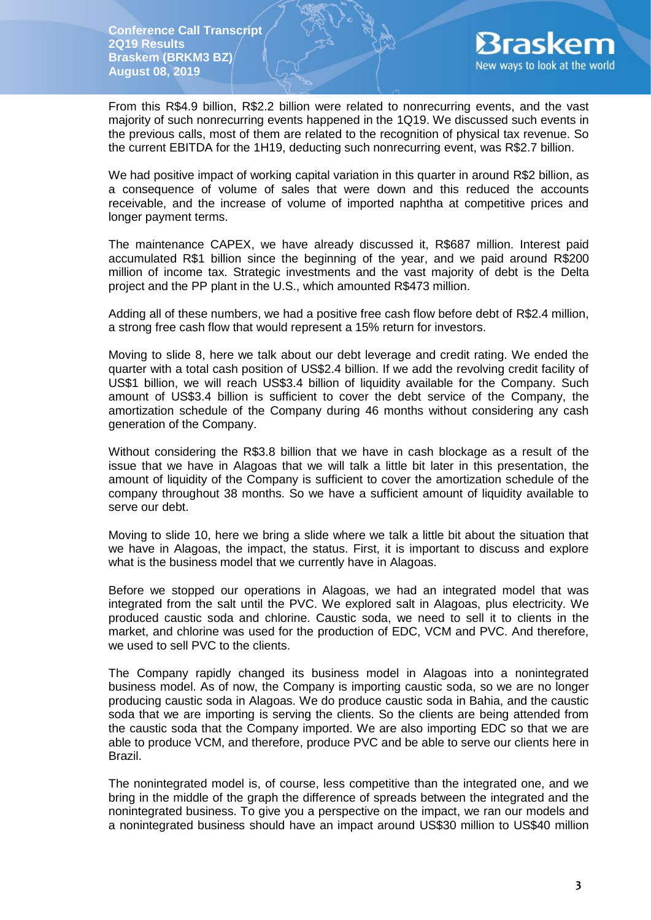

From this R\$4.9 billion, R\$2.2 billion were related to nonrecurring events, and the vast majority of such nonrecurring events happened in the 1Q19. We discussed such events in the previous calls, most of them are related to the recognition of physical tax revenue. So the current EBITDA for the 1H19, deducting such nonrecurring event, was R\$2.7 billion.

We had positive impact of working capital variation in this quarter in around R\$2 billion, as a consequence of volume of sales that were down and this reduced the accounts receivable, and the increase of volume of imported naphtha at competitive prices and longer payment terms.

The maintenance CAPEX, we have already discussed it, R\$687 million. Interest paid accumulated R\$1 billion since the beginning of the year, and we paid around R\$200 million of income tax. Strategic investments and the vast majority of debt is the Delta project and the PP plant in the U.S., which amounted R\$473 million.

Adding all of these numbers, we had a positive free cash flow before debt of R\$2.4 million, a strong free cash flow that would represent a 15% return for investors.

Moving to slide 8, here we talk about our debt leverage and credit rating. We ended the quarter with a total cash position of US\$2.4 billion. If we add the revolving credit facility of US\$1 billion, we will reach US\$3.4 billion of liquidity available for the Company. Such amount of US\$3.4 billion is sufficient to cover the debt service of the Company, the amortization schedule of the Company during 46 months without considering any cash generation of the Company.

Without considering the R\$3.8 billion that we have in cash blockage as a result of the issue that we have in Alagoas that we will talk a little bit later in this presentation, the amount of liquidity of the Company is sufficient to cover the amortization schedule of the company throughout 38 months. So we have a sufficient amount of liquidity available to serve our debt.

Moving to slide 10, here we bring a slide where we talk a little bit about the situation that we have in Alagoas, the impact, the status. First, it is important to discuss and explore what is the business model that we currently have in Alagoas.

Before we stopped our operations in Alagoas, we had an integrated model that was integrated from the salt until the PVC. We explored salt in Alagoas, plus electricity. We produced caustic soda and chlorine. Caustic soda, we need to sell it to clients in the market, and chlorine was used for the production of EDC, VCM and PVC. And therefore, we used to sell PVC to the clients.

The Company rapidly changed its business model in Alagoas into a nonintegrated business model. As of now, the Company is importing caustic soda, so we are no longer producing caustic soda in Alagoas. We do produce caustic soda in Bahia, and the caustic soda that we are importing is serving the clients. So the clients are being attended from the caustic soda that the Company imported. We are also importing EDC so that we are able to produce VCM, and therefore, produce PVC and be able to serve our clients here in Brazil.

The nonintegrated model is, of course, less competitive than the integrated one, and we bring in the middle of the graph the difference of spreads between the integrated and the nonintegrated business. To give you a perspective on the impact, we ran our models and a nonintegrated business should have an impact around US\$30 million to US\$40 million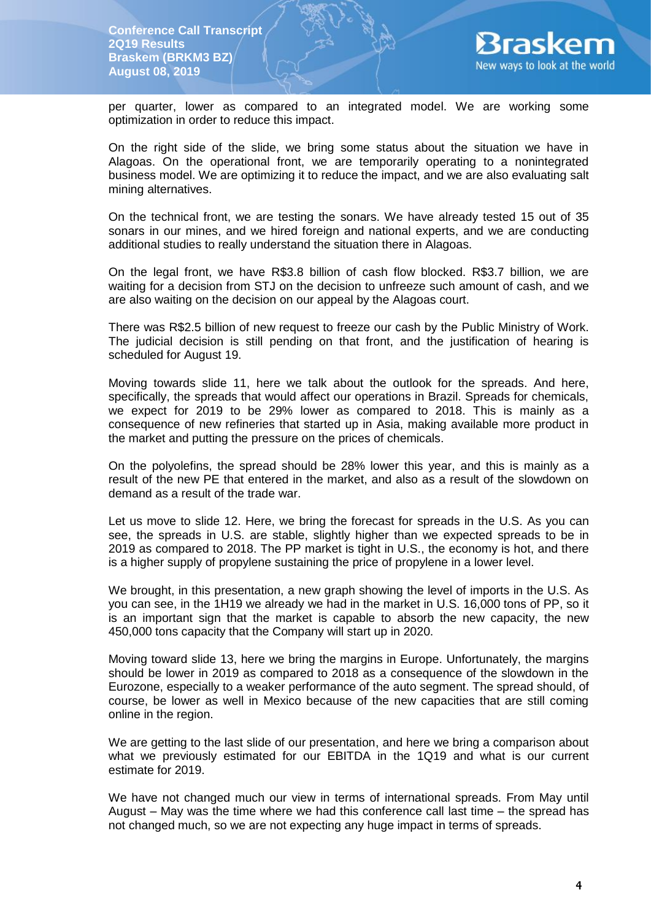

per quarter, lower as compared to an integrated model. We are working some optimization in order to reduce this impact.

On the right side of the slide, we bring some status about the situation we have in Alagoas. On the operational front, we are temporarily operating to a nonintegrated business model. We are optimizing it to reduce the impact, and we are also evaluating salt mining alternatives.

On the technical front, we are testing the sonars. We have already tested 15 out of 35 sonars in our mines, and we hired foreign and national experts, and we are conducting additional studies to really understand the situation there in Alagoas.

On the legal front, we have R\$3.8 billion of cash flow blocked. R\$3.7 billion, we are waiting for a decision from STJ on the decision to unfreeze such amount of cash, and we are also waiting on the decision on our appeal by the Alagoas court.

There was R\$2.5 billion of new request to freeze our cash by the Public Ministry of Work. The judicial decision is still pending on that front, and the justification of hearing is scheduled for August 19.

Moving towards slide 11, here we talk about the outlook for the spreads. And here, specifically, the spreads that would affect our operations in Brazil. Spreads for chemicals, we expect for 2019 to be 29% lower as compared to 2018. This is mainly as a consequence of new refineries that started up in Asia, making available more product in the market and putting the pressure on the prices of chemicals.

On the polyolefins, the spread should be 28% lower this year, and this is mainly as a result of the new PE that entered in the market, and also as a result of the slowdown on demand as a result of the trade war.

Let us move to slide 12. Here, we bring the forecast for spreads in the U.S. As you can see, the spreads in U.S. are stable, slightly higher than we expected spreads to be in 2019 as compared to 2018. The PP market is tight in U.S., the economy is hot, and there is a higher supply of propylene sustaining the price of propylene in a lower level.

We brought, in this presentation, a new graph showing the level of imports in the U.S. As you can see, in the 1H19 we already we had in the market in U.S. 16,000 tons of PP, so it is an important sign that the market is capable to absorb the new capacity, the new 450,000 tons capacity that the Company will start up in 2020.

Moving toward slide 13, here we bring the margins in Europe. Unfortunately, the margins should be lower in 2019 as compared to 2018 as a consequence of the slowdown in the Eurozone, especially to a weaker performance of the auto segment. The spread should, of course, be lower as well in Mexico because of the new capacities that are still coming online in the region.

We are getting to the last slide of our presentation, and here we bring a comparison about what we previously estimated for our EBITDA in the 1Q19 and what is our current estimate for 2019.

We have not changed much our view in terms of international spreads. From May until August – May was the time where we had this conference call last time – the spread has not changed much, so we are not expecting any huge impact in terms of spreads.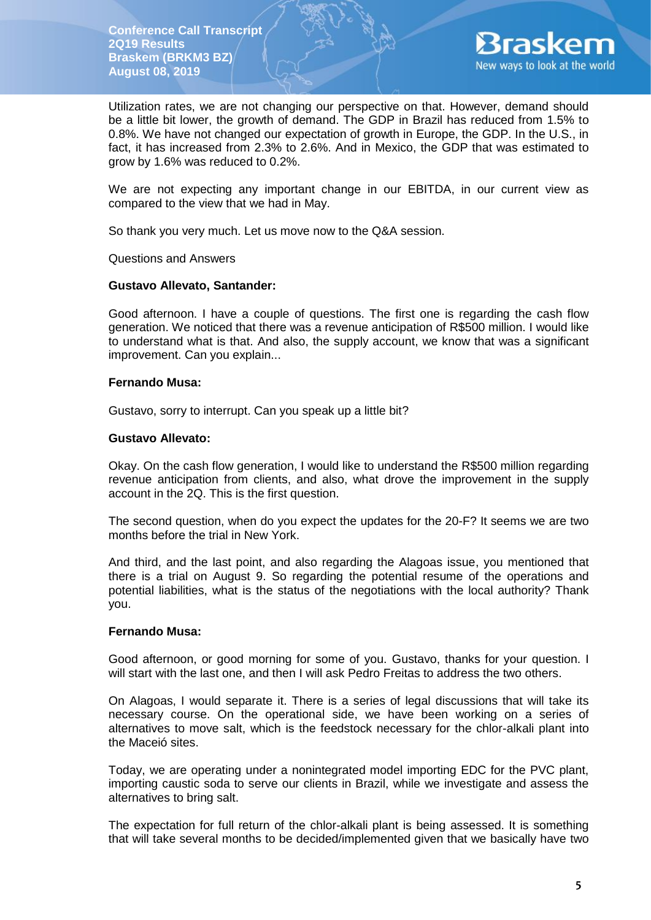

Utilization rates, we are not changing our perspective on that. However, demand should be a little bit lower, the growth of demand. The GDP in Brazil has reduced from 1.5% to 0.8%. We have not changed our expectation of growth in Europe, the GDP. In the U.S., in fact, it has increased from 2.3% to 2.6%. And in Mexico, the GDP that was estimated to grow by 1.6% was reduced to 0.2%.

We are not expecting any important change in our EBITDA, in our current view as compared to the view that we had in May.

So thank you very much. Let us move now to the Q&A session.

### Questions and Answers

#### **Gustavo Allevato, Santander:**

Good afternoon. I have a couple of questions. The first one is regarding the cash flow generation. We noticed that there was a revenue anticipation of R\$500 million. I would like to understand what is that. And also, the supply account, we know that was a significant improvement. Can you explain...

#### **Fernando Musa:**

Gustavo, sorry to interrupt. Can you speak up a little bit?

#### **Gustavo Allevato:**

Okay. On the cash flow generation, I would like to understand the R\$500 million regarding revenue anticipation from clients, and also, what drove the improvement in the supply account in the 2Q. This is the first question.

The second question, when do you expect the updates for the 20-F? It seems we are two months before the trial in New York.

And third, and the last point, and also regarding the Alagoas issue, you mentioned that there is a trial on August 9. So regarding the potential resume of the operations and potential liabilities, what is the status of the negotiations with the local authority? Thank you.

### **Fernando Musa:**

Good afternoon, or good morning for some of you. Gustavo, thanks for your question. I will start with the last one, and then I will ask Pedro Freitas to address the two others.

On Alagoas, I would separate it. There is a series of legal discussions that will take its necessary course. On the operational side, we have been working on a series of alternatives to move salt, which is the feedstock necessary for the chlor-alkali plant into the Maceió sites.

Today, we are operating under a nonintegrated model importing EDC for the PVC plant, importing caustic soda to serve our clients in Brazil, while we investigate and assess the alternatives to bring salt.

The expectation for full return of the chlor-alkali plant is being assessed. It is something that will take several months to be decided/implemented given that we basically have two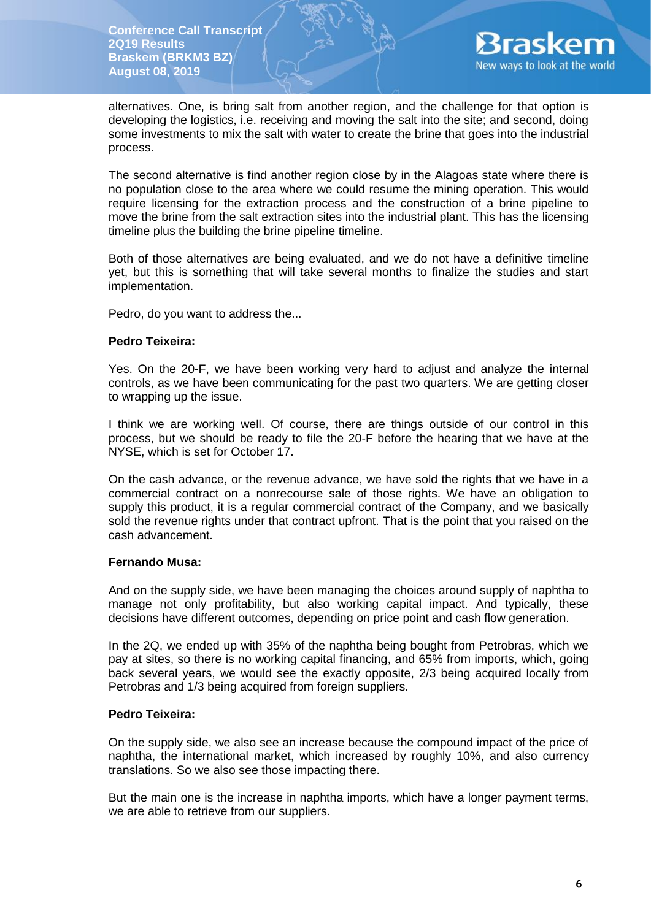

alternatives. One, is bring salt from another region, and the challenge for that option is developing the logistics, i.e. receiving and moving the salt into the site; and second, doing some investments to mix the salt with water to create the brine that goes into the industrial process.

The second alternative is find another region close by in the Alagoas state where there is no population close to the area where we could resume the mining operation. This would require licensing for the extraction process and the construction of a brine pipeline to move the brine from the salt extraction sites into the industrial plant. This has the licensing timeline plus the building the brine pipeline timeline.

Both of those alternatives are being evaluated, and we do not have a definitive timeline yet, but this is something that will take several months to finalize the studies and start implementation.

Pedro, do you want to address the...

## **Pedro Teixeira:**

Yes. On the 20-F, we have been working very hard to adjust and analyze the internal controls, as we have been communicating for the past two quarters. We are getting closer to wrapping up the issue.

I think we are working well. Of course, there are things outside of our control in this process, but we should be ready to file the 20-F before the hearing that we have at the NYSE, which is set for October 17.

On the cash advance, or the revenue advance, we have sold the rights that we have in a commercial contract on a nonrecourse sale of those rights. We have an obligation to supply this product, it is a regular commercial contract of the Company, and we basically sold the revenue rights under that contract upfront. That is the point that you raised on the cash advancement.

### **Fernando Musa:**

And on the supply side, we have been managing the choices around supply of naphtha to manage not only profitability, but also working capital impact. And typically, these decisions have different outcomes, depending on price point and cash flow generation.

In the 2Q, we ended up with 35% of the naphtha being bought from Petrobras, which we pay at sites, so there is no working capital financing, and 65% from imports, which, going back several years, we would see the exactly opposite, 2/3 being acquired locally from Petrobras and 1/3 being acquired from foreign suppliers.

### **Pedro Teixeira:**

On the supply side, we also see an increase because the compound impact of the price of naphtha, the international market, which increased by roughly 10%, and also currency translations. So we also see those impacting there.

But the main one is the increase in naphtha imports, which have a longer payment terms, we are able to retrieve from our suppliers.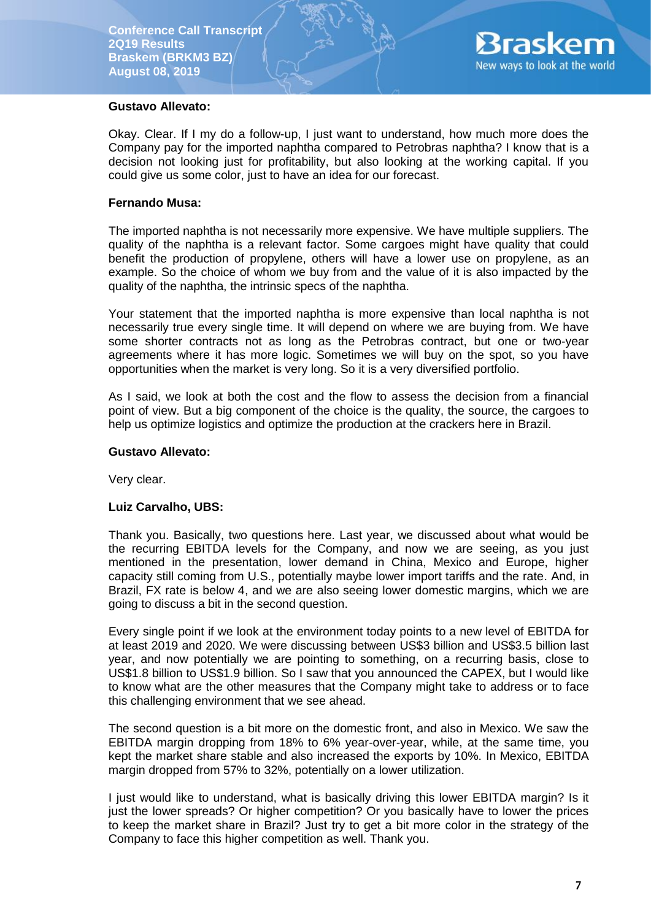

## **Gustavo Allevato:**

Okay. Clear. If I my do a follow-up, I just want to understand, how much more does the Company pay for the imported naphtha compared to Petrobras naphtha? I know that is a decision not looking just for profitability, but also looking at the working capital. If you could give us some color, just to have an idea for our forecast.

### **Fernando Musa:**

The imported naphtha is not necessarily more expensive. We have multiple suppliers. The quality of the naphtha is a relevant factor. Some cargoes might have quality that could benefit the production of propylene, others will have a lower use on propylene, as an example. So the choice of whom we buy from and the value of it is also impacted by the quality of the naphtha, the intrinsic specs of the naphtha.

Your statement that the imported naphtha is more expensive than local naphtha is not necessarily true every single time. It will depend on where we are buying from. We have some shorter contracts not as long as the Petrobras contract, but one or two-year agreements where it has more logic. Sometimes we will buy on the spot, so you have opportunities when the market is very long. So it is a very diversified portfolio.

As I said, we look at both the cost and the flow to assess the decision from a financial point of view. But a big component of the choice is the quality, the source, the cargoes to help us optimize logistics and optimize the production at the crackers here in Brazil.

## **Gustavo Allevato:**

Very clear.

# **Luiz Carvalho, UBS:**

Thank you. Basically, two questions here. Last year, we discussed about what would be the recurring EBITDA levels for the Company, and now we are seeing, as you just mentioned in the presentation, lower demand in China, Mexico and Europe, higher capacity still coming from U.S., potentially maybe lower import tariffs and the rate. And, in Brazil, FX rate is below 4, and we are also seeing lower domestic margins, which we are going to discuss a bit in the second question.

Every single point if we look at the environment today points to a new level of EBITDA for at least 2019 and 2020. We were discussing between US\$3 billion and US\$3.5 billion last year, and now potentially we are pointing to something, on a recurring basis, close to US\$1.8 billion to US\$1.9 billion. So I saw that you announced the CAPEX, but I would like to know what are the other measures that the Company might take to address or to face this challenging environment that we see ahead.

The second question is a bit more on the domestic front, and also in Mexico. We saw the EBITDA margin dropping from 18% to 6% year-over-year, while, at the same time, you kept the market share stable and also increased the exports by 10%. In Mexico, EBITDA margin dropped from 57% to 32%, potentially on a lower utilization.

I just would like to understand, what is basically driving this lower EBITDA margin? Is it just the lower spreads? Or higher competition? Or you basically have to lower the prices to keep the market share in Brazil? Just try to get a bit more color in the strategy of the Company to face this higher competition as well. Thank you.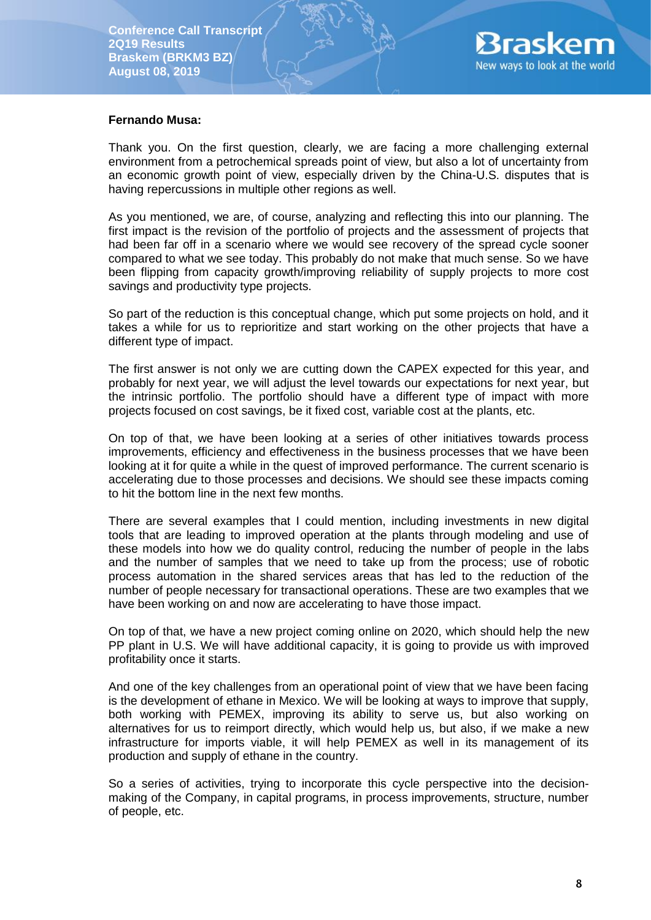

### **Fernando Musa:**

Thank you. On the first question, clearly, we are facing a more challenging external environment from a petrochemical spreads point of view, but also a lot of uncertainty from an economic growth point of view, especially driven by the China-U.S. disputes that is having repercussions in multiple other regions as well.

As you mentioned, we are, of course, analyzing and reflecting this into our planning. The first impact is the revision of the portfolio of projects and the assessment of projects that had been far off in a scenario where we would see recovery of the spread cycle sooner compared to what we see today. This probably do not make that much sense. So we have been flipping from capacity growth/improving reliability of supply projects to more cost savings and productivity type projects.

So part of the reduction is this conceptual change, which put some projects on hold, and it takes a while for us to reprioritize and start working on the other projects that have a different type of impact.

The first answer is not only we are cutting down the CAPEX expected for this year, and probably for next year, we will adjust the level towards our expectations for next year, but the intrinsic portfolio. The portfolio should have a different type of impact with more projects focused on cost savings, be it fixed cost, variable cost at the plants, etc.

On top of that, we have been looking at a series of other initiatives towards process improvements, efficiency and effectiveness in the business processes that we have been looking at it for quite a while in the quest of improved performance. The current scenario is accelerating due to those processes and decisions. We should see these impacts coming to hit the bottom line in the next few months.

There are several examples that I could mention, including investments in new digital tools that are leading to improved operation at the plants through modeling and use of these models into how we do quality control, reducing the number of people in the labs and the number of samples that we need to take up from the process; use of robotic process automation in the shared services areas that has led to the reduction of the number of people necessary for transactional operations. These are two examples that we have been working on and now are accelerating to have those impact.

On top of that, we have a new project coming online on 2020, which should help the new PP plant in U.S. We will have additional capacity, it is going to provide us with improved profitability once it starts.

And one of the key challenges from an operational point of view that we have been facing is the development of ethane in Mexico. We will be looking at ways to improve that supply, both working with PEMEX, improving its ability to serve us, but also working on alternatives for us to reimport directly, which would help us, but also, if we make a new infrastructure for imports viable, it will help PEMEX as well in its management of its production and supply of ethane in the country.

So a series of activities, trying to incorporate this cycle perspective into the decisionmaking of the Company, in capital programs, in process improvements, structure, number of people, etc.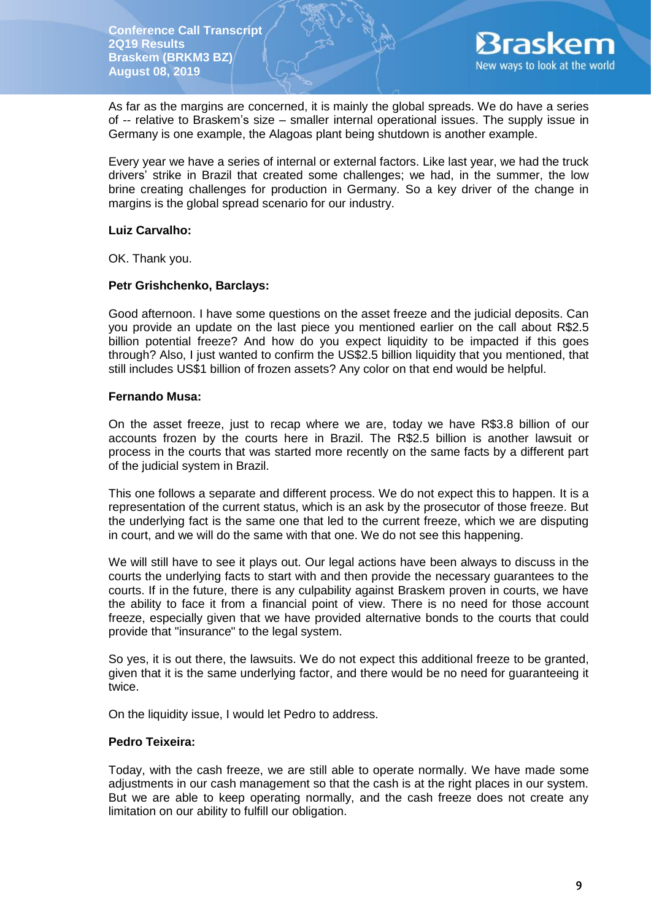

As far as the margins are concerned, it is mainly the global spreads. We do have a series of -- relative to Braskem's size – smaller internal operational issues. The supply issue in Germany is one example, the Alagoas plant being shutdown is another example.

Every year we have a series of internal or external factors. Like last year, we had the truck drivers' strike in Brazil that created some challenges; we had, in the summer, the low brine creating challenges for production in Germany. So a key driver of the change in margins is the global spread scenario for our industry.

### **Luiz Carvalho:**

OK. Thank you.

## **Petr Grishchenko, Barclays:**

Good afternoon. I have some questions on the asset freeze and the judicial deposits. Can you provide an update on the last piece you mentioned earlier on the call about R\$2.5 billion potential freeze? And how do you expect liquidity to be impacted if this goes through? Also, I just wanted to confirm the US\$2.5 billion liquidity that you mentioned, that still includes US\$1 billion of frozen assets? Any color on that end would be helpful.

## **Fernando Musa:**

On the asset freeze, just to recap where we are, today we have R\$3.8 billion of our accounts frozen by the courts here in Brazil. The R\$2.5 billion is another lawsuit or process in the courts that was started more recently on the same facts by a different part of the judicial system in Brazil.

This one follows a separate and different process. We do not expect this to happen. It is a representation of the current status, which is an ask by the prosecutor of those freeze. But the underlying fact is the same one that led to the current freeze, which we are disputing in court, and we will do the same with that one. We do not see this happening.

We will still have to see it plays out. Our legal actions have been always to discuss in the courts the underlying facts to start with and then provide the necessary guarantees to the courts. If in the future, there is any culpability against Braskem proven in courts, we have the ability to face it from a financial point of view. There is no need for those account freeze, especially given that we have provided alternative bonds to the courts that could provide that "insurance" to the legal system.

So yes, it is out there, the lawsuits. We do not expect this additional freeze to be granted, given that it is the same underlying factor, and there would be no need for guaranteeing it twice.

On the liquidity issue, I would let Pedro to address.

### **Pedro Teixeira:**

Today, with the cash freeze, we are still able to operate normally. We have made some adjustments in our cash management so that the cash is at the right places in our system. But we are able to keep operating normally, and the cash freeze does not create any limitation on our ability to fulfill our obligation.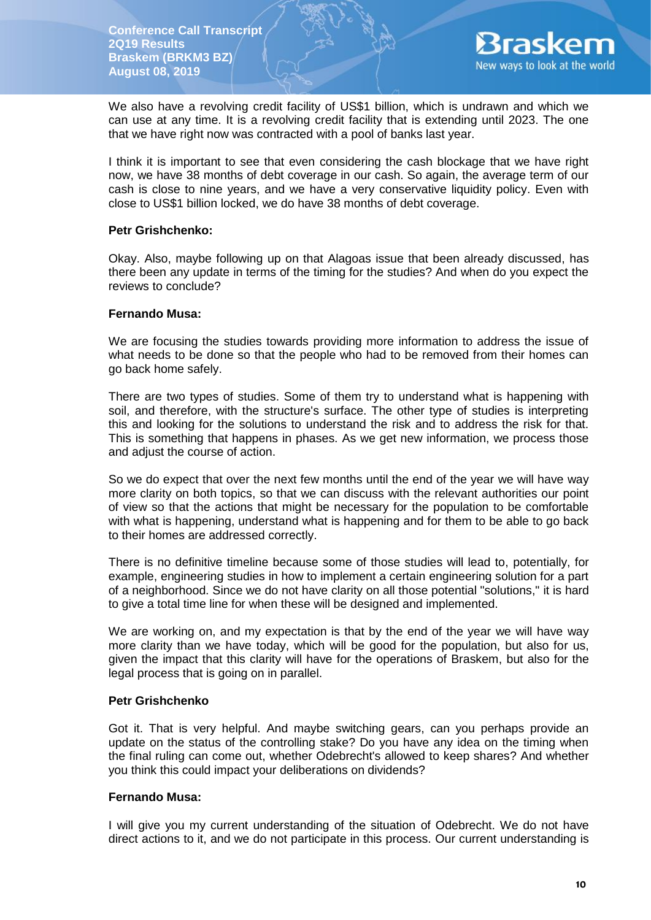

We also have a revolving credit facility of US\$1 billion, which is undrawn and which we can use at any time. It is a revolving credit facility that is extending until 2023. The one that we have right now was contracted with a pool of banks last year.

I think it is important to see that even considering the cash blockage that we have right now, we have 38 months of debt coverage in our cash. So again, the average term of our cash is close to nine years, and we have a very conservative liquidity policy. Even with close to US\$1 billion locked, we do have 38 months of debt coverage.

## **Petr Grishchenko:**

Okay. Also, maybe following up on that Alagoas issue that been already discussed, has there been any update in terms of the timing for the studies? And when do you expect the reviews to conclude?

## **Fernando Musa:**

We are focusing the studies towards providing more information to address the issue of what needs to be done so that the people who had to be removed from their homes can go back home safely.

There are two types of studies. Some of them try to understand what is happening with soil, and therefore, with the structure's surface. The other type of studies is interpreting this and looking for the solutions to understand the risk and to address the risk for that. This is something that happens in phases. As we get new information, we process those and adjust the course of action.

So we do expect that over the next few months until the end of the year we will have way more clarity on both topics, so that we can discuss with the relevant authorities our point of view so that the actions that might be necessary for the population to be comfortable with what is happening, understand what is happening and for them to be able to go back to their homes are addressed correctly.

There is no definitive timeline because some of those studies will lead to, potentially, for example, engineering studies in how to implement a certain engineering solution for a part of a neighborhood. Since we do not have clarity on all those potential "solutions," it is hard to give a total time line for when these will be designed and implemented.

We are working on, and my expectation is that by the end of the year we will have way more clarity than we have today, which will be good for the population, but also for us, given the impact that this clarity will have for the operations of Braskem, but also for the legal process that is going on in parallel.

### **Petr Grishchenko**

Got it. That is very helpful. And maybe switching gears, can you perhaps provide an update on the status of the controlling stake? Do you have any idea on the timing when the final ruling can come out, whether Odebrecht's allowed to keep shares? And whether you think this could impact your deliberations on dividends?

# **Fernando Musa:**

I will give you my current understanding of the situation of Odebrecht. We do not have direct actions to it, and we do not participate in this process. Our current understanding is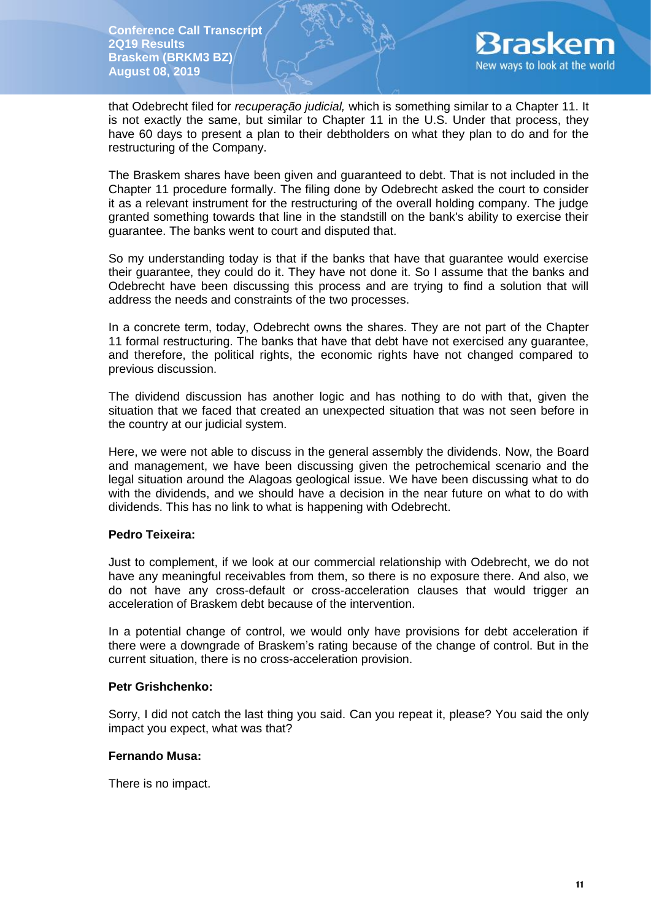

that Odebrecht filed for *recuperação judicial,* which is something similar to a Chapter 11. It is not exactly the same, but similar to Chapter 11 in the U.S. Under that process, they have 60 days to present a plan to their debtholders on what they plan to do and for the restructuring of the Company.

The Braskem shares have been given and guaranteed to debt. That is not included in the Chapter 11 procedure formally. The filing done by Odebrecht asked the court to consider it as a relevant instrument for the restructuring of the overall holding company. The judge granted something towards that line in the standstill on the bank's ability to exercise their guarantee. The banks went to court and disputed that.

So my understanding today is that if the banks that have that guarantee would exercise their guarantee, they could do it. They have not done it. So I assume that the banks and Odebrecht have been discussing this process and are trying to find a solution that will address the needs and constraints of the two processes.

In a concrete term, today, Odebrecht owns the shares. They are not part of the Chapter 11 formal restructuring. The banks that have that debt have not exercised any guarantee, and therefore, the political rights, the economic rights have not changed compared to previous discussion.

The dividend discussion has another logic and has nothing to do with that, given the situation that we faced that created an unexpected situation that was not seen before in the country at our judicial system.

Here, we were not able to discuss in the general assembly the dividends. Now, the Board and management, we have been discussing given the petrochemical scenario and the legal situation around the Alagoas geological issue. We have been discussing what to do with the dividends, and we should have a decision in the near future on what to do with dividends. This has no link to what is happening with Odebrecht.

# **Pedro Teixeira:**

Just to complement, if we look at our commercial relationship with Odebrecht, we do not have any meaningful receivables from them, so there is no exposure there. And also, we do not have any cross-default or cross-acceleration clauses that would trigger an acceleration of Braskem debt because of the intervention.

In a potential change of control, we would only have provisions for debt acceleration if there were a downgrade of Braskem's rating because of the change of control. But in the current situation, there is no cross-acceleration provision.

# **Petr Grishchenko:**

Sorry, I did not catch the last thing you said. Can you repeat it, please? You said the only impact you expect, what was that?

# **Fernando Musa:**

There is no impact.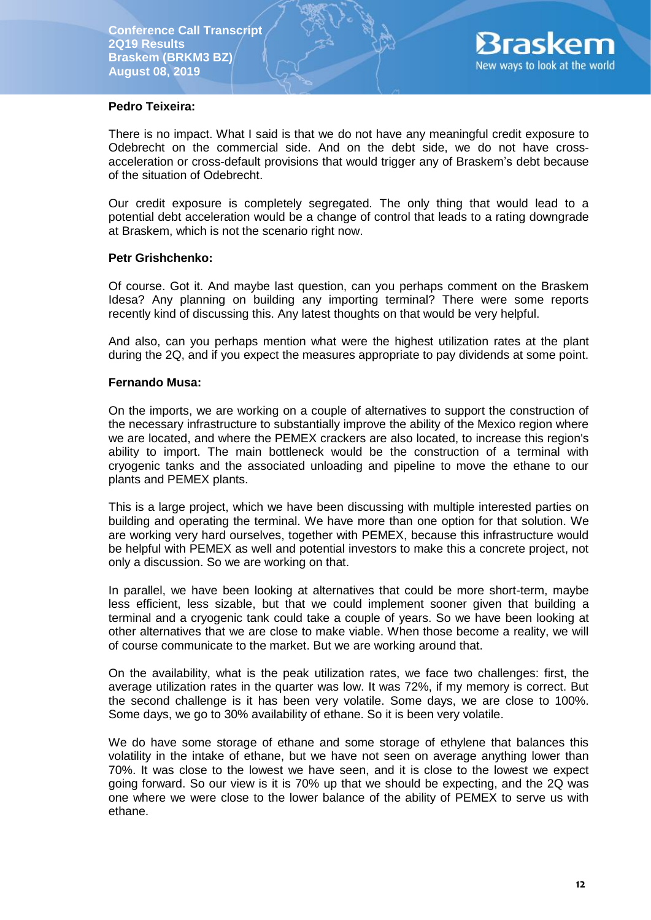

# **Pedro Teixeira:**

There is no impact. What I said is that we do not have any meaningful credit exposure to Odebrecht on the commercial side. And on the debt side, we do not have crossacceleration or cross-default provisions that would trigger any of Braskem's debt because of the situation of Odebrecht.

Our credit exposure is completely segregated. The only thing that would lead to a potential debt acceleration would be a change of control that leads to a rating downgrade at Braskem, which is not the scenario right now.

# **Petr Grishchenko:**

Of course. Got it. And maybe last question, can you perhaps comment on the Braskem Idesa? Any planning on building any importing terminal? There were some reports recently kind of discussing this. Any latest thoughts on that would be very helpful.

And also, can you perhaps mention what were the highest utilization rates at the plant during the 2Q, and if you expect the measures appropriate to pay dividends at some point.

# **Fernando Musa:**

On the imports, we are working on a couple of alternatives to support the construction of the necessary infrastructure to substantially improve the ability of the Mexico region where we are located, and where the PEMEX crackers are also located, to increase this region's ability to import. The main bottleneck would be the construction of a terminal with cryogenic tanks and the associated unloading and pipeline to move the ethane to our plants and PEMEX plants.

This is a large project, which we have been discussing with multiple interested parties on building and operating the terminal. We have more than one option for that solution. We are working very hard ourselves, together with PEMEX, because this infrastructure would be helpful with PEMEX as well and potential investors to make this a concrete project, not only a discussion. So we are working on that.

In parallel, we have been looking at alternatives that could be more short-term, maybe less efficient, less sizable, but that we could implement sooner given that building a terminal and a cryogenic tank could take a couple of years. So we have been looking at other alternatives that we are close to make viable. When those become a reality, we will of course communicate to the market. But we are working around that.

On the availability, what is the peak utilization rates, we face two challenges: first, the average utilization rates in the quarter was low. It was 72%, if my memory is correct. But the second challenge is it has been very volatile. Some days, we are close to 100%. Some days, we go to 30% availability of ethane. So it is been very volatile.

We do have some storage of ethane and some storage of ethylene that balances this volatility in the intake of ethane, but we have not seen on average anything lower than 70%. It was close to the lowest we have seen, and it is close to the lowest we expect going forward. So our view is it is 70% up that we should be expecting, and the 2Q was one where we were close to the lower balance of the ability of PEMEX to serve us with ethane.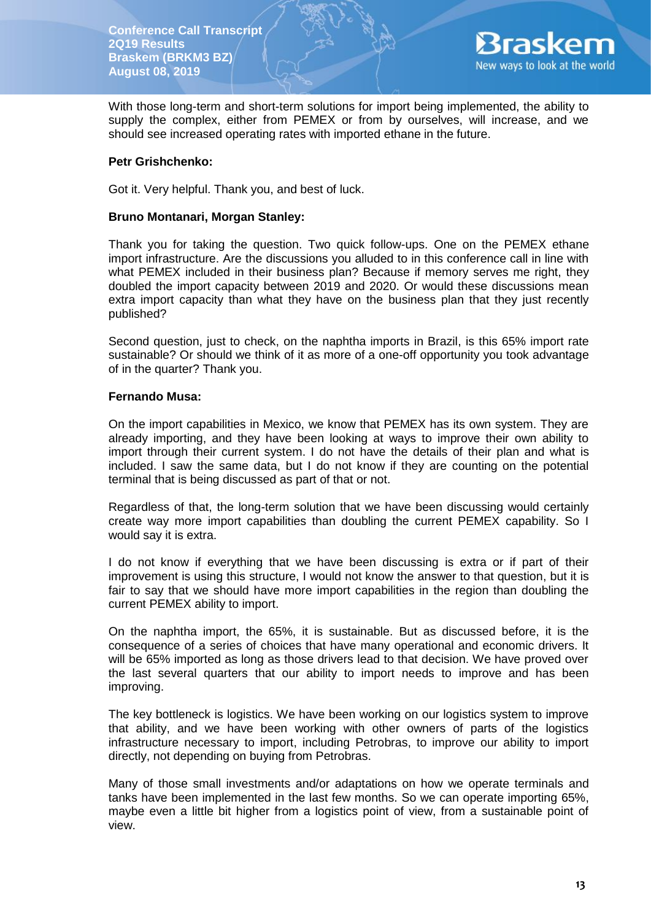

With those long-term and short-term solutions for import being implemented, the ability to supply the complex, either from PEMEX or from by ourselves, will increase, and we should see increased operating rates with imported ethane in the future.

### **Petr Grishchenko:**

Got it. Very helpful. Thank you, and best of luck.

## **Bruno Montanari, Morgan Stanley:**

Thank you for taking the question. Two quick follow-ups. One on the PEMEX ethane import infrastructure. Are the discussions you alluded to in this conference call in line with what PEMEX included in their business plan? Because if memory serves me right, they doubled the import capacity between 2019 and 2020. Or would these discussions mean extra import capacity than what they have on the business plan that they just recently published?

Second question, just to check, on the naphtha imports in Brazil, is this 65% import rate sustainable? Or should we think of it as more of a one-off opportunity you took advantage of in the quarter? Thank you.

## **Fernando Musa:**

On the import capabilities in Mexico, we know that PEMEX has its own system. They are already importing, and they have been looking at ways to improve their own ability to import through their current system. I do not have the details of their plan and what is included. I saw the same data, but I do not know if they are counting on the potential terminal that is being discussed as part of that or not.

Regardless of that, the long-term solution that we have been discussing would certainly create way more import capabilities than doubling the current PEMEX capability. So I would say it is extra.

I do not know if everything that we have been discussing is extra or if part of their improvement is using this structure, I would not know the answer to that question, but it is fair to say that we should have more import capabilities in the region than doubling the current PEMEX ability to import.

On the naphtha import, the 65%, it is sustainable. But as discussed before, it is the consequence of a series of choices that have many operational and economic drivers. It will be 65% imported as long as those drivers lead to that decision. We have proved over the last several quarters that our ability to import needs to improve and has been improving.

The key bottleneck is logistics. We have been working on our logistics system to improve that ability, and we have been working with other owners of parts of the logistics infrastructure necessary to import, including Petrobras, to improve our ability to import directly, not depending on buying from Petrobras.

Many of those small investments and/or adaptations on how we operate terminals and tanks have been implemented in the last few months. So we can operate importing 65%, maybe even a little bit higher from a logistics point of view, from a sustainable point of view.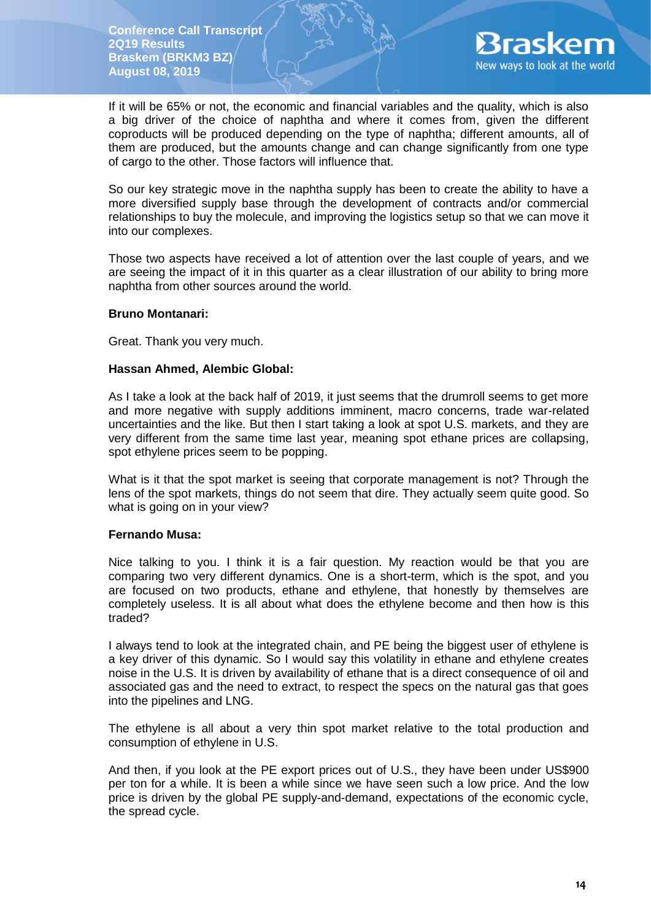

If it will be 65% or not, the economic and financial variables and the quality, which is also a big driver of the choice of naphtha and where it comes from, given the different coproducts will be produced depending on the type of naphtha; different amounts, all of them are produced, but the amounts change and can change significantly from one type of cargo to the other. Those factors will influence that.

So our key strategic move in the naphtha supply has been to create the ability to have a more diversified supply base through the development of contracts and/or commercial relationships to buy the molecule, and improving the logistics setup so that we can move it into our complexes.

Those two aspects have received a lot of attention over the last couple of years, and we are seeing the impact of it in this quarter as a clear illustration of our ability to bring more naphtha from other sources around the world.

## **Bruno Montanari:**

Great. Thank you very much.

## **Hassan Ahmed, Alembic Global:**

As I take a look at the back half of 2019, it just seems that the drumroll seems to get more and more negative with supply additions imminent, macro concerns, trade war-related uncertainties and the like. But then I start taking a look at spot U.S. markets, and they are very different from the same time last year, meaning spot ethane prices are collapsing, spot ethylene prices seem to be popping.

What is it that the spot market is seeing that corporate management is not? Through the lens of the spot markets, things do not seem that dire. They actually seem quite good. So what is going on in your view?

# **Fernando Musa:**

Nice talking to you. I think it is a fair question. My reaction would be that you are comparing two very different dynamics. One is a short-term, which is the spot, and you are focused on two products, ethane and ethylene, that honestly by themselves are completely useless. It is all about what does the ethylene become and then how is this traded?

I always tend to look at the integrated chain, and PE being the biggest user of ethylene is a key driver of this dynamic. So I would say this volatility in ethane and ethylene creates noise in the U.S. It is driven by availability of ethane that is a direct consequence of oil and associated gas and the need to extract, to respect the specs on the natural gas that goes into the pipelines and LNG.

The ethylene is all about a very thin spot market relative to the total production and consumption of ethylene in U.S.

And then, if you look at the PE export prices out of U.S., they have been under US\$900 per ton for a while. It is been a while since we have seen such a low price. And the low price is driven by the global PE supply-and-demand, expectations of the economic cycle, the spread cycle.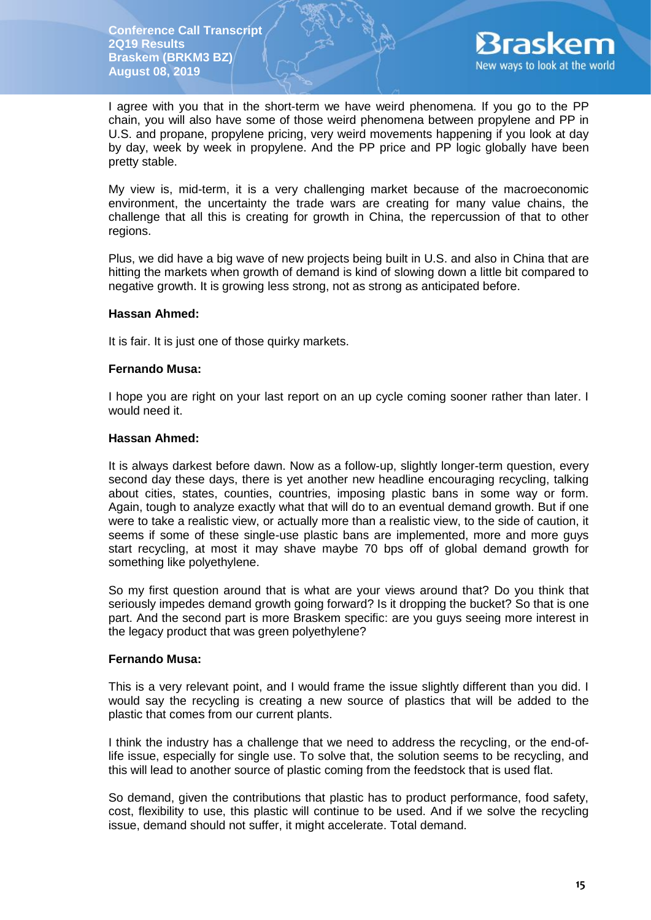

I agree with you that in the short-term we have weird phenomena. If you go to the PP chain, you will also have some of those weird phenomena between propylene and PP in U.S. and propane, propylene pricing, very weird movements happening if you look at day by day, week by week in propylene. And the PP price and PP logic globally have been pretty stable.

My view is, mid-term, it is a very challenging market because of the macroeconomic environment, the uncertainty the trade wars are creating for many value chains, the challenge that all this is creating for growth in China, the repercussion of that to other regions.

Plus, we did have a big wave of new projects being built in U.S. and also in China that are hitting the markets when growth of demand is kind of slowing down a little bit compared to negative growth. It is growing less strong, not as strong as anticipated before.

### **Hassan Ahmed:**

It is fair. It is just one of those quirky markets.

## **Fernando Musa:**

I hope you are right on your last report on an up cycle coming sooner rather than later. I would need it.

## **Hassan Ahmed:**

It is always darkest before dawn. Now as a follow-up, slightly longer-term question, every second day these days, there is yet another new headline encouraging recycling, talking about cities, states, counties, countries, imposing plastic bans in some way or form. Again, tough to analyze exactly what that will do to an eventual demand growth. But if one were to take a realistic view, or actually more than a realistic view, to the side of caution, it seems if some of these single-use plastic bans are implemented, more and more guys start recycling, at most it may shave maybe 70 bps off of global demand growth for something like polyethylene.

So my first question around that is what are your views around that? Do you think that seriously impedes demand growth going forward? Is it dropping the bucket? So that is one part. And the second part is more Braskem specific: are you guys seeing more interest in the legacy product that was green polyethylene?

### **Fernando Musa:**

This is a very relevant point, and I would frame the issue slightly different than you did. I would say the recycling is creating a new source of plastics that will be added to the plastic that comes from our current plants.

I think the industry has a challenge that we need to address the recycling, or the end-oflife issue, especially for single use. To solve that, the solution seems to be recycling, and this will lead to another source of plastic coming from the feedstock that is used flat.

So demand, given the contributions that plastic has to product performance, food safety, cost, flexibility to use, this plastic will continue to be used. And if we solve the recycling issue, demand should not suffer, it might accelerate. Total demand.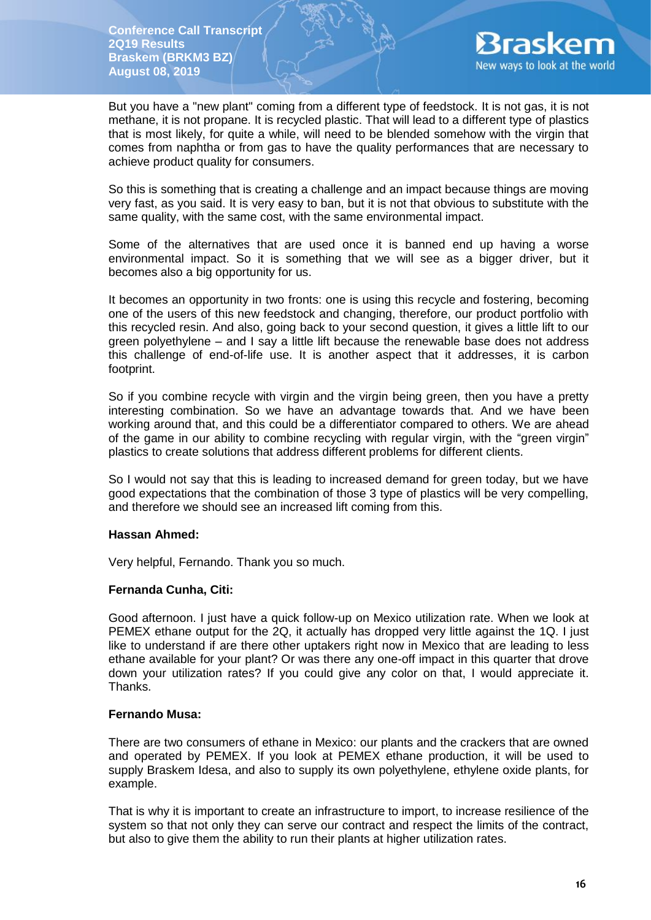

But you have a "new plant" coming from a different type of feedstock. It is not gas, it is not methane, it is not propane. It is recycled plastic. That will lead to a different type of plastics that is most likely, for quite a while, will need to be blended somehow with the virgin that comes from naphtha or from gas to have the quality performances that are necessary to achieve product quality for consumers.

So this is something that is creating a challenge and an impact because things are moving very fast, as you said. It is very easy to ban, but it is not that obvious to substitute with the same quality, with the same cost, with the same environmental impact.

Some of the alternatives that are used once it is banned end up having a worse environmental impact. So it is something that we will see as a bigger driver, but it becomes also a big opportunity for us.

It becomes an opportunity in two fronts: one is using this recycle and fostering, becoming one of the users of this new feedstock and changing, therefore, our product portfolio with this recycled resin. And also, going back to your second question, it gives a little lift to our green polyethylene – and I say a little lift because the renewable base does not address this challenge of end-of-life use. It is another aspect that it addresses, it is carbon footprint.

So if you combine recycle with virgin and the virgin being green, then you have a pretty interesting combination. So we have an advantage towards that. And we have been working around that, and this could be a differentiator compared to others. We are ahead of the game in our ability to combine recycling with regular virgin, with the "green virgin" plastics to create solutions that address different problems for different clients.

So I would not say that this is leading to increased demand for green today, but we have good expectations that the combination of those 3 type of plastics will be very compelling, and therefore we should see an increased lift coming from this.

# **Hassan Ahmed:**

Very helpful, Fernando. Thank you so much.

# **Fernanda Cunha, Citi:**

Good afternoon. I just have a quick follow-up on Mexico utilization rate. When we look at PEMEX ethane output for the 2Q, it actually has dropped very little against the 1Q. I just like to understand if are there other uptakers right now in Mexico that are leading to less ethane available for your plant? Or was there any one-off impact in this quarter that drove down your utilization rates? If you could give any color on that, I would appreciate it. Thanks.

### **Fernando Musa:**

There are two consumers of ethane in Mexico: our plants and the crackers that are owned and operated by PEMEX. If you look at PEMEX ethane production, it will be used to supply Braskem Idesa, and also to supply its own polyethylene, ethylene oxide plants, for example.

That is why it is important to create an infrastructure to import, to increase resilience of the system so that not only they can serve our contract and respect the limits of the contract, but also to give them the ability to run their plants at higher utilization rates.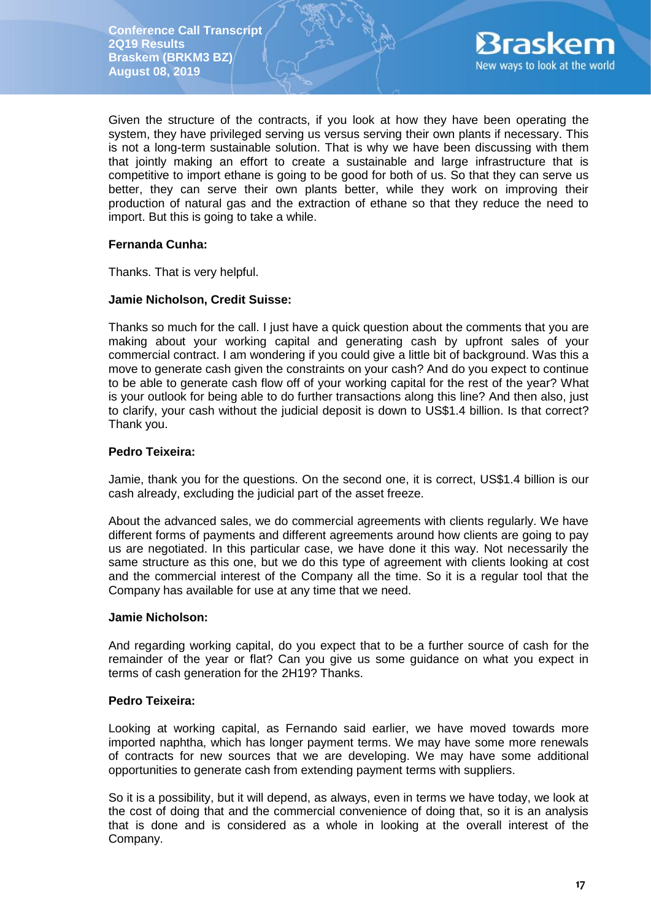

Given the structure of the contracts, if you look at how they have been operating the system, they have privileged serving us versus serving their own plants if necessary. This is not a long-term sustainable solution. That is why we have been discussing with them that jointly making an effort to create a sustainable and large infrastructure that is competitive to import ethane is going to be good for both of us. So that they can serve us better, they can serve their own plants better, while they work on improving their production of natural gas and the extraction of ethane so that they reduce the need to import. But this is going to take a while.

## **Fernanda Cunha:**

Thanks. That is very helpful.

## **Jamie Nicholson, Credit Suisse:**

Thanks so much for the call. I just have a quick question about the comments that you are making about your working capital and generating cash by upfront sales of your commercial contract. I am wondering if you could give a little bit of background. Was this a move to generate cash given the constraints on your cash? And do you expect to continue to be able to generate cash flow off of your working capital for the rest of the year? What is your outlook for being able to do further transactions along this line? And then also, just to clarify, your cash without the judicial deposit is down to US\$1.4 billion. Is that correct? Thank you.

## **Pedro Teixeira:**

Jamie, thank you for the questions. On the second one, it is correct, US\$1.4 billion is our cash already, excluding the judicial part of the asset freeze.

About the advanced sales, we do commercial agreements with clients regularly. We have different forms of payments and different agreements around how clients are going to pay us are negotiated. In this particular case, we have done it this way. Not necessarily the same structure as this one, but we do this type of agreement with clients looking at cost and the commercial interest of the Company all the time. So it is a regular tool that the Company has available for use at any time that we need.

### **Jamie Nicholson:**

And regarding working capital, do you expect that to be a further source of cash for the remainder of the year or flat? Can you give us some guidance on what you expect in terms of cash generation for the 2H19? Thanks.

## **Pedro Teixeira:**

Looking at working capital, as Fernando said earlier, we have moved towards more imported naphtha, which has longer payment terms. We may have some more renewals of contracts for new sources that we are developing. We may have some additional opportunities to generate cash from extending payment terms with suppliers.

So it is a possibility, but it will depend, as always, even in terms we have today, we look at the cost of doing that and the commercial convenience of doing that, so it is an analysis that is done and is considered as a whole in looking at the overall interest of the Company.